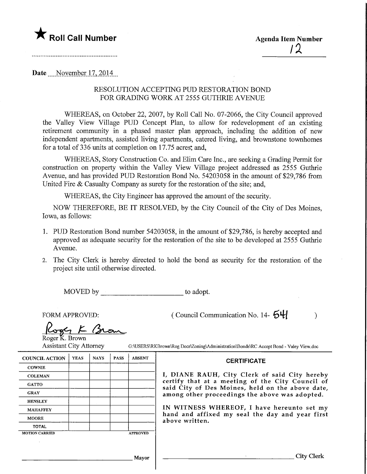

Date November 17, 2014.

# RESOLUTION ACCEPTING PUD RESTORATION BOND FOR GRADING WORK AT 2555 GUTHRIE AVENUE

WHEREAS, on October 22, 2007, by Roll Call No. 07-2066, the City Council approved the Valley View Village PUD Concept Plan, to allow for redevelopment of an existing retirement community in a phased master plan approach, including the addition of new independent apartments, assisted living apartments, catered living, and brownstone townhomes for a total of  $336$  units at completion on  $17.75$  acres, and,

WHEREAS, Story Construction Co. and Elim Care Inc., are seeking a Grading Permit for construction on property within the Valley View Village project addressed as 2555 Guthrie Avenue, and has provided PUD Restoration Bond No. 54203058 in the amount of \$29,786 from United Fire & Casualty Company as surety for the restoration of the site; and,

WHEREAS, the City Engineer has approved the amount of the security.

NOW THEREFORE, BE IT RESOLVED, by the City Council of the City of Des Moines, Iowa, as follows:

- 1. PUD Restoration Bond number 54203058, in the amount of \$29,786, is hereby accepted and approved as adequate security for the restoration of the site to be developed at 2555 Guthrie Avenue.
- 2. The City Clerk is hereby directed to hold the bond as security for the restoration of the project site until otherwise directed.

MOVED by to adopt.

FORM APPROVED:

( Council Communication No. 14- $\mathbf{54}$ 

**CERTIFICATE** 

 $K$  Bron Roger K. Brown

Assistant City Attorney G:\USERS\RKBrown\Rog Docs\Zoning\Administration\Bonds\RC Accept Bond - Valey View.doc

#### COUNCIL ACTION **COWNIE COLEMAN GATTO** GRAY **HENSLEY** MAHAFFEY MOORE TOTAL YEAS MOTION CARRIED NAYS PASS ABSENT APPROVED Mayor I, DIANE RAUH, City Clerk of said City hereby certify that at a meeting of the City Council of said City of Des Moines, held on the above date, among other proceedings the above was adopted. IN WITNESS WHEREOF, I have hereunto set my hand and affixed my seal the day and year first above written.

 $\mathcal{E}$ 

City Clerk